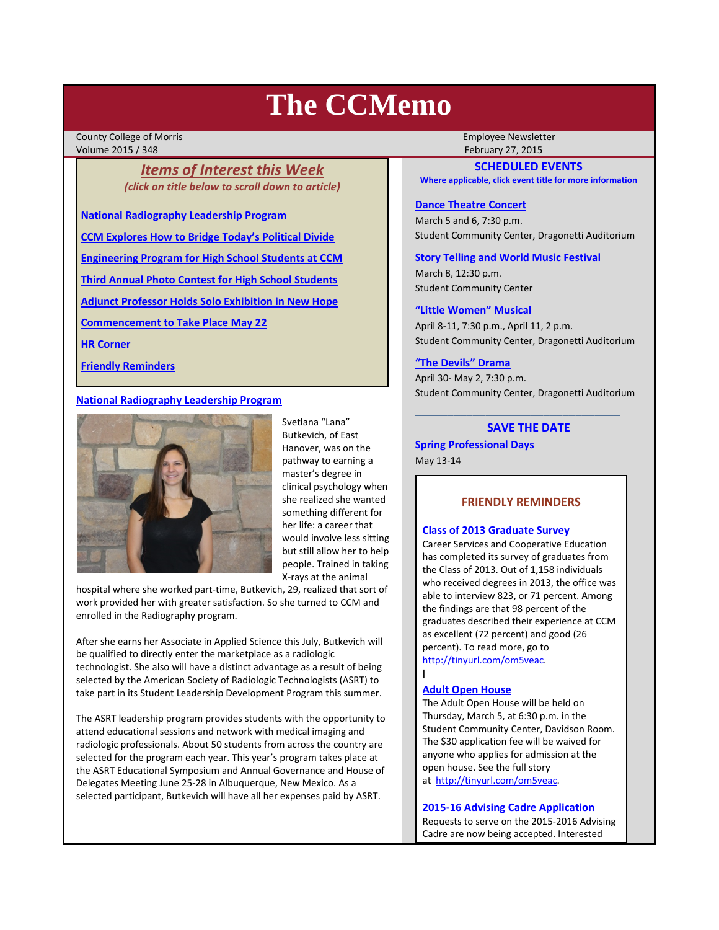# **The CCMemo**

County College of Morris **Employee Newsletter** Volume 2015 / 348 February 27, 2015

# *Items of Interest this Week (click on title below to scroll down to article)*

**National Radiography Leadership Program**

**CCM Explores How to Bridge Today's Political Divide**

**Engineering Program for High School Students at CCM**

**Third Annual Photo Contest for High School Students**

**Adjunct Professor Holds Solo Exhibition in New Hope**

**Commencement to Take Place May 22**

**HR Corner**

**Friendly Reminders**

# **National Radiography Leadership Program**



Svetlana "Lana" Butkevich, of East Hanover, was on the pathway to earning a master's degree in clinical psychology when she realized she wanted something different for her life: a career that would involve less sitting but still allow her to help people. Trained in taking X‐rays at the animal

hospital where she worked part‐time, Butkevich, 29, realized that sort of work provided her with greater satisfaction. So she turned to CCM and enrolled in the Radiography program.

After she earns her Associate in Applied Science this July, Butkevich will be qualified to directly enter the marketplace as a radiologic technologist. She also will have a distinct advantage as a result of being selected by the American Society of Radiologic Technologists (ASRT) to take part in its Student Leadership Development Program this summer.

The ASRT leadership program provides students with the opportunity to attend educational sessions and network with medical imaging and radiologic professionals. About 50 students from across the country are selected for the program each year. This year's program takes place at the ASRT Educational Symposium and Annual Governance and House of Delegates Meeting June 25‐28 in Albuquerque, New Mexico. As a selected participant, Butkevich will have all her expenses paid by ASRT.

# **SCHEDULED EVENTS**

**Where applicable, click event title for more information**

# **Dance Theatre Concert**

March 5 and 6, 7:30 p.m. Student Community Center, Dragonetti Auditorium

# **Story Telling and World Music Festival**

March 8, 12:30 p.m. Student Community Center

#### **"Little Women" Musical**

April 8‐11, 7:30 p.m., April 11, 2 p.m. Student Community Center, Dragonetti Auditorium

## **"The Devils" Drama**

April 30‐ May 2, 7:30 p.m. Student Community Center, Dragonetti Auditorium

\_\_\_\_\_\_\_\_\_\_\_\_\_\_\_\_\_\_\_\_\_\_\_\_\_\_\_\_\_\_\_\_

# **SAVE THE DATE**

**Spring Professional Days** May 13‐14

# **FRIENDLY REMINDERS**

## **Class of 2013 Graduate Survey**

Career Services and Cooperative Education has completed its survey of graduates from the Class of 2013. Out of 1,158 individuals who received degrees in 2013, the office was able to interview 823, or 71 percent. Among the findings are that 98 percent of the graduates described their experience at CCM as excellent (72 percent) and good (26 percent). To read more, go to http://tinyurl.com/om5veac.

## **Adult Open House**

l

The Adult Open House will be held on Thursday, March 5, at 6:30 p.m. in the Student Community Center, Davidson Room. The \$30 application fee will be waived for anyone who applies for admission at the open house. See the full story at http://tinyurl.com/om5veac.

## **2015‐16 Advising Cadre Application**

Requests to serve on the 2015‐2016 Advising Cadre are now being accepted. Interested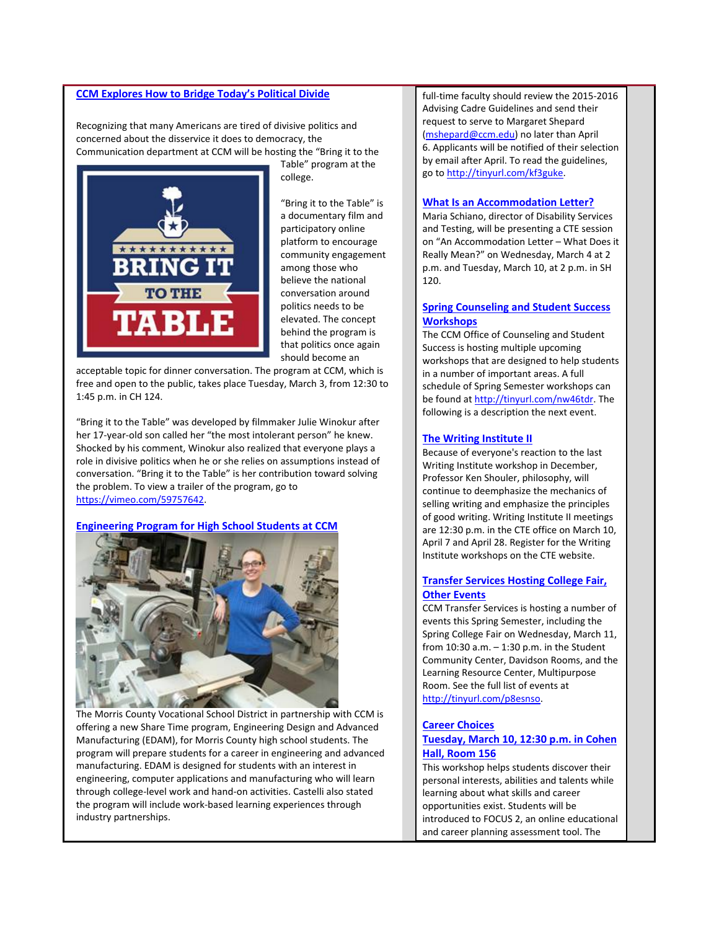## **CCM Explores How to Bridge Today's Political Divide**

Recognizing that many Americans are tired of divisive politics and concerned about the disservice it does to democracy, the Communication department at CCM will be hosting the "Bring it to the



Table" program at the college.

"Bring it to the Table" is a documentary film and participatory online platform to encourage community engagement among those who believe the national conversation around politics needs to be elevated. The concept behind the program is that politics once again should become an

acceptable topic for dinner conversation. The program at CCM, which is free and open to the public, takes place Tuesday, March 3, from 12:30 to 1:45 p.m. in CH 124.

"Bring it to the Table" was developed by filmmaker Julie Winokur after her 17-year-old son called her "the most intolerant person" he knew. Shocked by his comment, Winokur also realized that everyone plays a role in divisive politics when he or she relies on assumptions instead of conversation. "Bring it to the Table" is her contribution toward solving the problem. To view a trailer of the program, go to https://vimeo.com/59757642.

#### **Engineering Program for High School Students at CCM**



The Morris County Vocational School District in partnership with CCM is offering a new Share Time program, Engineering Design and Advanced Manufacturing (EDAM), for Morris County high school students. The program will prepare students for a career in engineering and advanced manufacturing. EDAM is designed for students with an interest in engineering, computer applications and manufacturing who will learn through college‐level work and hand‐on activities. Castelli also stated the program will include work‐based learning experiences through industry partnerships.

full-time faculty should review the 2015-2016 Advising Cadre Guidelines and send their request to serve to Margaret Shepard (mshepard@ccm.edu) no later than April 6. Applicants will be notified of their selection by email after April. To read the guidelines, go to http://tinyurl.com/kf3guke.

#### **What Is an Accommodation Letter?**

Maria Schiano, director of Disability Services and Testing, will be presenting a CTE session on "An Accommodation Letter – What Does it Really Mean?" on Wednesday, March 4 at 2 p.m. and Tuesday, March 10, at 2 p.m. in SH 120.

# **Spring Counseling and Student Success Workshops**

The CCM Office of Counseling and Student Success is hosting multiple upcoming workshops that are designed to help students in a number of important areas. A full schedule of Spring Semester workshops can be found at http://tinyurl.com/nw46tdr. The following is a description the next event.

#### **The Writing Institute II**

Because of everyone's reaction to the last Writing Institute workshop in December, Professor Ken Shouler, philosophy, will continue to deemphasize the mechanics of selling writing and emphasize the principles of good writing. Writing Institute II meetings are 12:30 p.m. in the CTE office on March 10, April 7 and April 28. Register for the Writing Institute workshops on the CTE website.

## **Transfer Services Hosting College Fair, Other Events**

CCM Transfer Services is hosting a number of events this Spring Semester, including the Spring College Fair on Wednesday, March 11, from 10:30 a.m. – 1:30 p.m. in the Student Community Center, Davidson Rooms, and the Learning Resource Center, Multipurpose Room. See the full list of events at http://tinyurl.com/p8esnso.

#### **Career Choices**

# **Tuesday, March 10, 12:30 p.m. in Cohen Hall, Room 156**

This workshop helps students discover their personal interests, abilities and talents while learning about what skills and career opportunities exist. Students will be introduced to FOCUS 2, an online educational and career planning assessment tool. The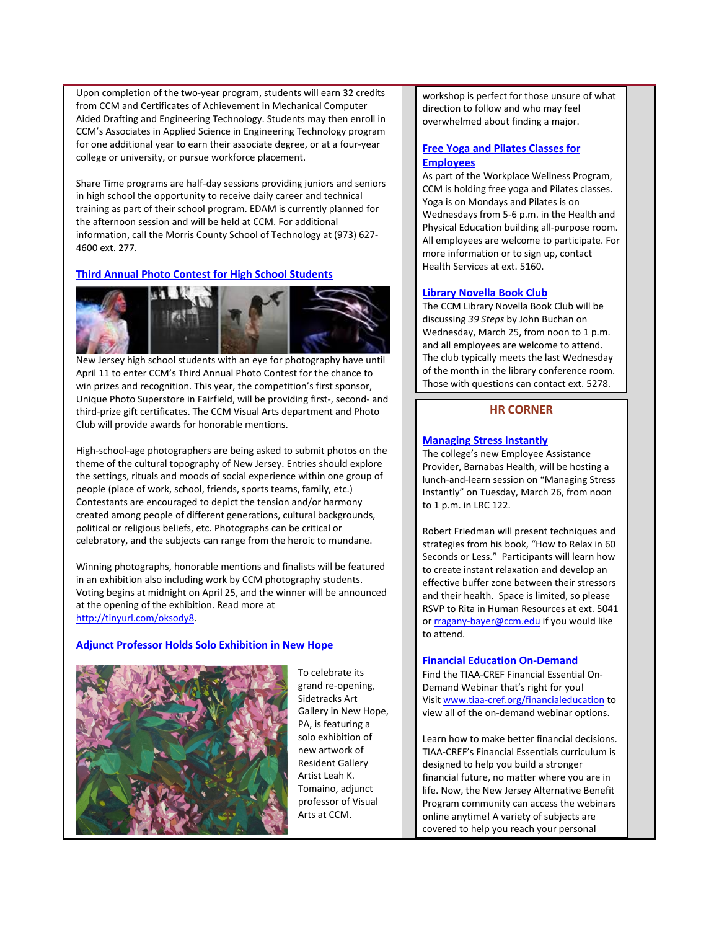Upon completion of the two‐year program, students will earn 32 credits from CCM and Certificates of Achievement in Mechanical Computer Aided Drafting and Engineering Technology. Students may then enroll in CCM's Associates in Applied Science in Engineering Technology program for one additional year to earn their associate degree, or at a four‐year college or university, or pursue workforce placement.

Share Time programs are half-day sessions providing juniors and seniors in high school the opportunity to receive daily career and technical training as part of their school program. EDAM is currently planned for the afternoon session and will be held at CCM. For additional information, call the Morris County School of Technology at (973) 627‐ 4600 ext. 277.

# **Third Annual Photo Contest for High School Students**



New Jersey high school students with an eye for photography have until April 11 to enter CCM's Third Annual Photo Contest for the chance to win prizes and recognition. This year, the competition's first sponsor, Unique Photo Superstore in Fairfield, will be providing first‐, second‐ and third‐prize gift certificates. The CCM Visual Arts department and Photo Club will provide awards for honorable mentions.

High‐school‐age photographers are being asked to submit photos on the theme of the cultural topography of New Jersey. Entries should explore the settings, rituals and moods of social experience within one group of people (place of work, school, friends, sports teams, family, etc.) Contestants are encouraged to depict the tension and/or harmony created among people of different generations, cultural backgrounds, political or religious beliefs, etc. Photographs can be critical or celebratory, and the subjects can range from the heroic to mundane.

Winning photographs, honorable mentions and finalists will be featured in an exhibition also including work by CCM photography students. Voting begins at midnight on April 25, and the winner will be announced at the opening of the exhibition. Read more at http://tinyurl.com/oksody8.

## **Adjunct Professor Holds Solo Exhibition in New Hope**



To celebrate its grand re‐opening, Sidetracks Art Gallery in New Hope, PA, is featuring a solo exhibition of new artwork of Resident Gallery Artist Leah K. Tomaino, adjunct professor of Visual Arts at CCM.

workshop is perfect for those unsure of what direction to follow and who may feel overwhelmed about finding a major.

# **Free Yoga and Pilates Classes for Employees**

As part of the Workplace Wellness Program, CCM is holding free yoga and Pilates classes. Yoga is on Mondays and Pilates is on Wednesdays from 5‐6 p.m. in the Health and Physical Education building all‐purpose room. All employees are welcome to participate. For more information or to sign up, contact Health Services at ext. 5160.

#### **Library Novella Book Club**

The CCM Library Novella Book Club will be discussing *39 Steps* by John Buchan on Wednesday, March 25, from noon to 1 p.m. and all employees are welcome to attend. The club typically meets the last Wednesday of the month in the library conference room. Those with questions can contact ext. 5278.

## **HR CORNER**

## **Managing Stress Instantly**

The college's new Employee Assistance Provider, Barnabas Health, will be hosting a lunch‐and‐learn session on "Managing Stress Instantly" on Tuesday, March 26, from noon to 1 p.m. in LRC 122.

Robert Friedman will present techniques and strategies from his book, "How to Relax in 60 Seconds or Less." Participants will learn how to create instant relaxation and develop an effective buffer zone between their stressors and their health. Space is limited, so please RSVP to Rita in Human Resources at ext. 5041 or rragany‐bayer@ccm.edu if you would like to attend.

#### **Financial Education On‐Demand**

Find the TIAA‐CREF Financial Essential On‐ Demand Webinar that's right for you! Visit www.tiaa‐cref.org/financialeducation to view all of the on‐demand webinar options.

Learn how to make better financial decisions. TIAA‐CREF's Financial Essentials curriculum is designed to help you build a stronger financial future, no matter where you are in life. Now, the New Jersey Alternative Benefit Program community can access the webinars online anytime! A variety of subjects are covered to help you reach your personal